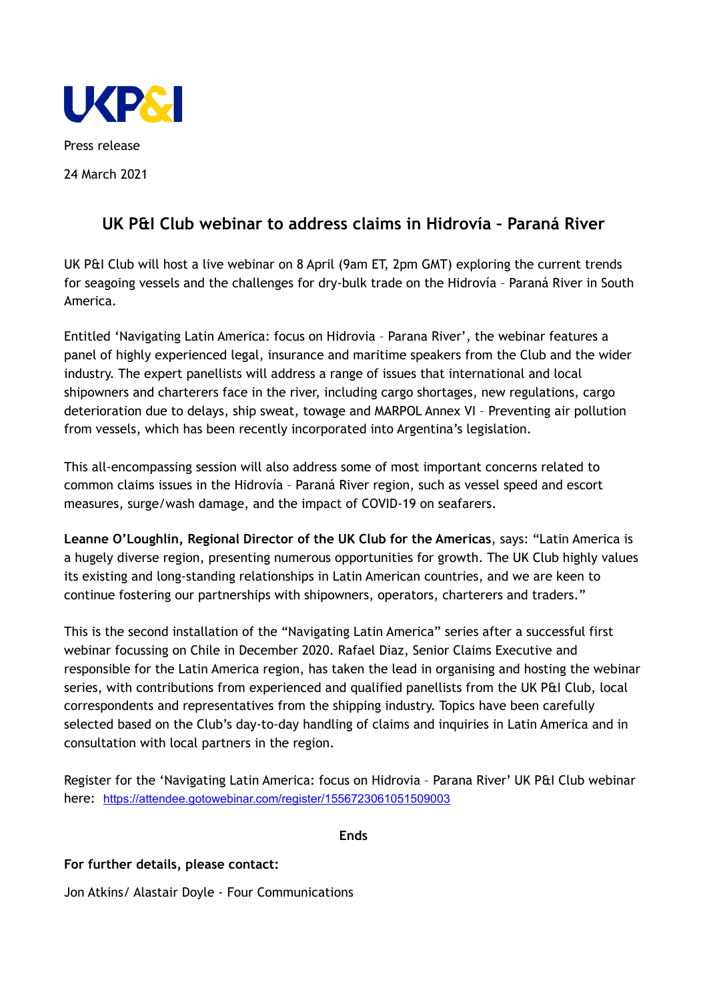

Press release 24 March 2021

# **UK P&I Club webinar to address claims in Hidrovía – Paraná River**

UK P&I Club will host a live webinar on 8 April (9am ET, 2pm GMT) exploring the current trends for seagoing vessels and the challenges for dry-bulk trade on the Hidrovía – Paraná River in South America.

Entitled 'Navigating Latin America: focus on Hidrovia – Parana River', the webinar features a panel of highly experienced legal, insurance and maritime speakers from the Club and the wider industry. The expert panellists will address a range of issues that international and local shipowners and charterers face in the river, including cargo shortages, new regulations, cargo deterioration due to delays, ship sweat, towage and MARPOL Annex VI – Preventing air pollution from vessels, which has been recently incorporated into Argentina's legislation.

This all-encompassing session will also address some of most important concerns related to common claims issues in the Hidrovía – Paraná River region, such as vessel speed and escort measures, surge/wash damage, and the impact of COVID-19 on seafarers.

**Leanne O'Loughlin, Regional Director of the UK Club for the Americas**, says: "Latin America is a hugely diverse region, presenting numerous opportunities for growth. The UK Club highly values its existing and long-standing relationships in Latin American countries, and we are keen to continue fostering our partnerships with shipowners, operators, charterers and traders."

This is the second installation of the "Navigating Latin America" series after a successful first webinar focussing on Chile in December 2020. Rafael Diaz, Senior Claims Executive and responsible for the Latin America region, has taken the lead in organising and hosting the webinar series, with contributions from experienced and qualified panellists from the UK P&I Club, local correspondents and representatives from the shipping industry. Topics have been carefully selected based on the Club's day-to-day handling of claims and inquiries in Latin America and in consultation with local partners in the region.

Register for the 'Navigating Latin America: focus on Hidrovia – Parana River' UK P&I Club webinar here: [https://attendee.gotowebinar.com/register/1556723061051509003](https://protect-eu.mimecast.com/s/arKOCxv7Sx658zC8v266?domain=attendee.gotowebinar.com)

**Ends**

# **For further details, please contact:**

Jon Atkins/ Alastair Doyle - Four Communications